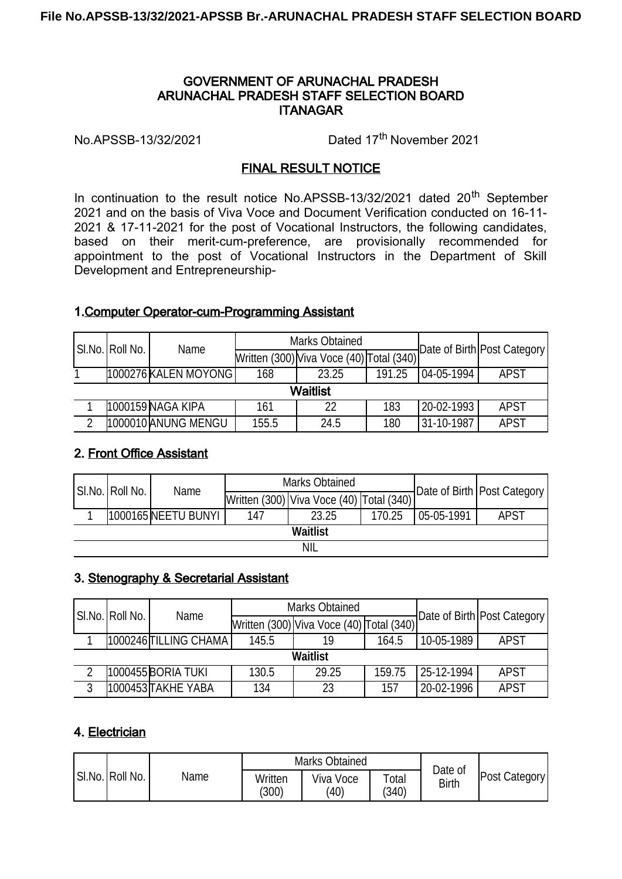#### GOVERNMENT OF ARUNACHAL PRADESH ARUNACHAL PRADESH STAFF SELECTION BOARD **ITANAGAR**

No.APSSB-13/32/2021 Dated 17th November 2021

#### FINAL RESULT NOTICE

In continuation to the result notice No.APSSB-13/32/2021 dated  $20<sup>th</sup>$  September 2021 and on the basis of Viva Voce and Document Verification conducted on 16-11- 2021 & 17-11-2021 for the post of Vocational Instructors, the following candidates, based on their merit-cum-preference, are provisionally recommended for appointment to the post of Vocational Instructors in the Department of Skill Development and Entrepreneurship-

#### 1.Computer Operator-cum-Programming Assistant

|   | SI.No. Roll No. | Name                 |       | <b>Marks Obtained</b>                    |        | Date of Birth Post Category |             |
|---|-----------------|----------------------|-------|------------------------------------------|--------|-----------------------------|-------------|
|   |                 |                      |       | Written (300) Viva Voce (40) Total (340) |        |                             |             |
|   |                 | 1000276 KALEN MOYONG | 168   | 23.25                                    | 191.25 | 04-05-1994                  | <b>APST</b> |
|   |                 |                      |       | Waitlist                                 |        |                             |             |
|   |                 | 1000159 NAGA KIPA    | 161   | 22                                       | 183    | 20-02-1993                  | <b>APST</b> |
| ◠ |                 | 1000010 ANUNG MENGU  | 155.5 | 24.5                                     | 180    | 31-10-1987                  | <b>APST</b> |

#### 2. Front Office Assistant

|     | SI.No. Roll No. | Name                |     | <b>Marks Obtained</b>                    |        | Date of Birth   Post Category |             |  |  |  |  |
|-----|-----------------|---------------------|-----|------------------------------------------|--------|-------------------------------|-------------|--|--|--|--|
|     |                 |                     |     | Written (300) Viva Voce (40) Total (340) |        |                               |             |  |  |  |  |
|     |                 | 1000165 NEETU BUNYI | 147 | 23.25                                    | 170.25 | 05-05-1991                    | <b>APST</b> |  |  |  |  |
|     | <b>Waitlist</b> |                     |     |                                          |        |                               |             |  |  |  |  |
| NIL |                 |                     |     |                                          |        |                               |             |  |  |  |  |

#### 3. Stenography & Secretarial Assistant

|   | SI.No. Roll No. | Name                  |       | <b>Marks Obtained</b>                    |        | Date of Birth   Post Category |             |  |  |  |  |
|---|-----------------|-----------------------|-------|------------------------------------------|--------|-------------------------------|-------------|--|--|--|--|
|   |                 |                       |       | Written (300) Viva Voce (40) Total (340) |        |                               |             |  |  |  |  |
|   |                 | 1000246 TILLING CHAMA | 145.5 | 19                                       | 164.5  | 10-05-1989                    | <b>APST</b> |  |  |  |  |
|   | <b>Waitlist</b> |                       |       |                                          |        |                               |             |  |  |  |  |
| റ |                 | 1000455 BORIA TUKI    | 130.5 | 29.25                                    | 159.75 | 25-12-1994                    | <b>APST</b> |  |  |  |  |
| 3 |                 | 1000453 TAKHE YABA    | 134   | 23                                       | 157    | 20-02-1996                    | <b>APST</b> |  |  |  |  |

#### 4. Electrician

|                  |      |                  | <b>Marks Obtained</b> | Date of              |              |                      |
|------------------|------|------------------|-----------------------|----------------------|--------------|----------------------|
| ISI.No. Roll No. | Name | Written<br>(300) | Viva Voce<br>(40)     | $\tau$ otal<br>(340) | <b>Birth</b> | <b>Post Category</b> |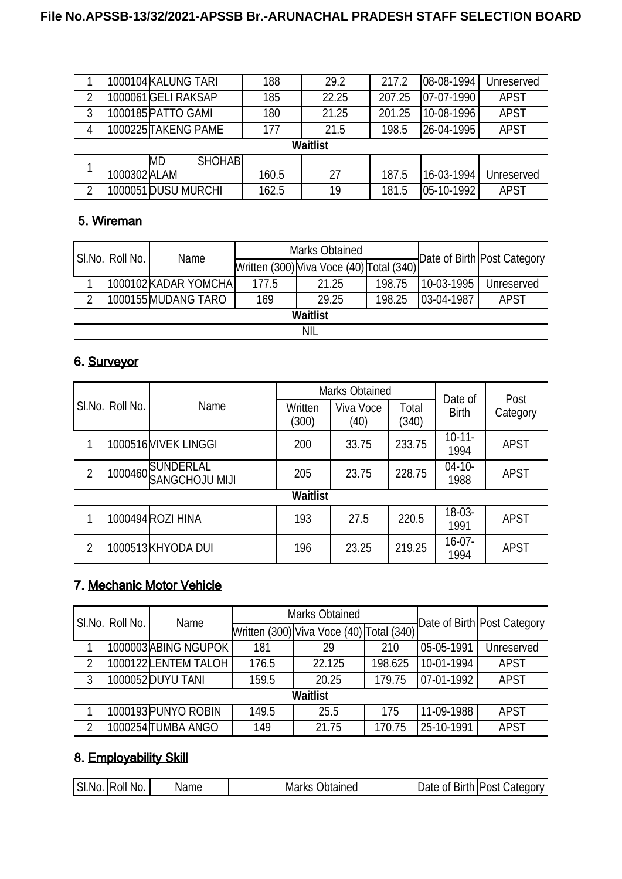|                |              | 1000104 KALUNG TARI         | 188   | 29.2            | 217.2  | 08-08-1994  | Unreserved  |
|----------------|--------------|-----------------------------|-------|-----------------|--------|-------------|-------------|
| $\overline{2}$ |              | 1000061 GELI RAKSAP         | 185   | 22.25           | 207.25 | 07-07-1990  | <b>APST</b> |
| 3              |              | 1000185 PATTO GAMI          | 180   | 21.25           | 201.25 | 10-08-1996  | <b>APST</b> |
| $\overline{4}$ |              | 1000225 TAKENG PAME         | 177   | 21.5            | 198.5  | 126-04-1995 | <b>APST</b> |
|                |              |                             |       | <b>Waitlist</b> |        |             |             |
| 1              |              | <b>SHOHABI</b><br><b>MD</b> |       |                 |        |             |             |
|                | 1000302 ALAM |                             | 160.5 | 27              | 187.5  | 116-03-1994 | Unreserved  |
| $\overline{2}$ |              | 1000051 DUSU MURCHI         | 162.5 | 19              | 181.5  | 05-10-1992  | <b>APST</b> |

# 5. Wireman

|                 | SI.No. Roll No. | Name                 |       | <b>Marks Obtained</b>                    |        | Date of Birth Post Category |             |  |  |  |
|-----------------|-----------------|----------------------|-------|------------------------------------------|--------|-----------------------------|-------------|--|--|--|
|                 |                 |                      |       | Written (300) Viva Voce (40) Total (340) |        |                             |             |  |  |  |
|                 |                 | 1000102 KADAR YOMCHA | 177.5 | 21.25                                    | 198.75 | 110-03-1995                 | Unreserved  |  |  |  |
| റ               |                 | 1000155 MUDANG TARO  | 169   | 29.25                                    | 198.25 | 03-04-1987                  | <b>APST</b> |  |  |  |
| <b>Waitlist</b> |                 |                      |       |                                          |        |                             |             |  |  |  |
| <b>NIL</b>      |                 |                      |       |                                          |        |                             |             |  |  |  |

### 6. Surveyor

|                    |  |                                     |                  | <b>Marks Obtained</b> |                | Date of             | Post        |
|--------------------|--|-------------------------------------|------------------|-----------------------|----------------|---------------------|-------------|
| SI.No.<br>Roll No. |  | Name                                | Written<br>(300) | Viva Voce<br>(40)     | Total<br>(340) | <b>Birth</b>        | Category    |
| 1                  |  | 1000516MIVEK LINGGI                 | 200              | 33.75                 | 233.75         | $10 - 11 -$<br>1994 | <b>APST</b> |
| $\overline{2}$     |  | 1000460 SUNDERLAL<br>SANGCHOJU MIJI | 205              | 23.75                 | 228.75         | $04 - 10 -$<br>1988 | <b>APST</b> |
|                    |  |                                     | <b>Waitlist</b>  |                       |                |                     |             |
| 1                  |  | 1000494 ROZI HINA                   | 193              | 27.5                  | 220.5          | 18-03-<br>1991      | <b>APST</b> |
| $\overline{2}$     |  | 1000513KHYODA DUI                   | 196              | 23.25                 | 219.25         | 16-07-<br>1994      | <b>APST</b> |

### 7. Mechanic Motor Vehicle

|                | SI.No. Roll No. | Name                 |       | <b>Marks Obtained</b>                    |         | Date of Birth   Post Category |             |  |  |  |  |
|----------------|-----------------|----------------------|-------|------------------------------------------|---------|-------------------------------|-------------|--|--|--|--|
|                |                 |                      |       | Written (300) Viva Voce (40) Total (340) |         |                               |             |  |  |  |  |
|                |                 | 1000003 ABING NGUPOK | 181   | 29                                       | 210     | 05-05-1991                    | Unreserved  |  |  |  |  |
| $\overline{2}$ |                 | 1000122LENTEM TALOH  | 176.5 | 22.125                                   | 198.625 | 10-01-1994                    | <b>APST</b> |  |  |  |  |
| 3 <sup>3</sup> |                 | 1000052 DUYU TANI    | 159.5 | 20.25                                    | 179.75  | 07-01-1992                    | <b>APST</b> |  |  |  |  |
|                | Waitlist        |                      |       |                                          |         |                               |             |  |  |  |  |
|                |                 | 1000193PUNYO ROBIN   | 149.5 | 25.5                                     | 175     | 11-09-1988                    | <b>APST</b> |  |  |  |  |
| 2              |                 | 1000254∏UMBA ANGO    | 149   | 21.75                                    | 170.75  | 25-10-1991                    | <b>APST</b> |  |  |  |  |

# 8. Employability Skill

| ISI.<br>No.<br>Roll<br>' No. | Jbtained<br>Name<br>----<br>Ma.<br>'N Ə | <b>Birth L</b><br>_01 L<br>Date | Category<br>,Post |
|------------------------------|-----------------------------------------|---------------------------------|-------------------|
|------------------------------|-----------------------------------------|---------------------------------|-------------------|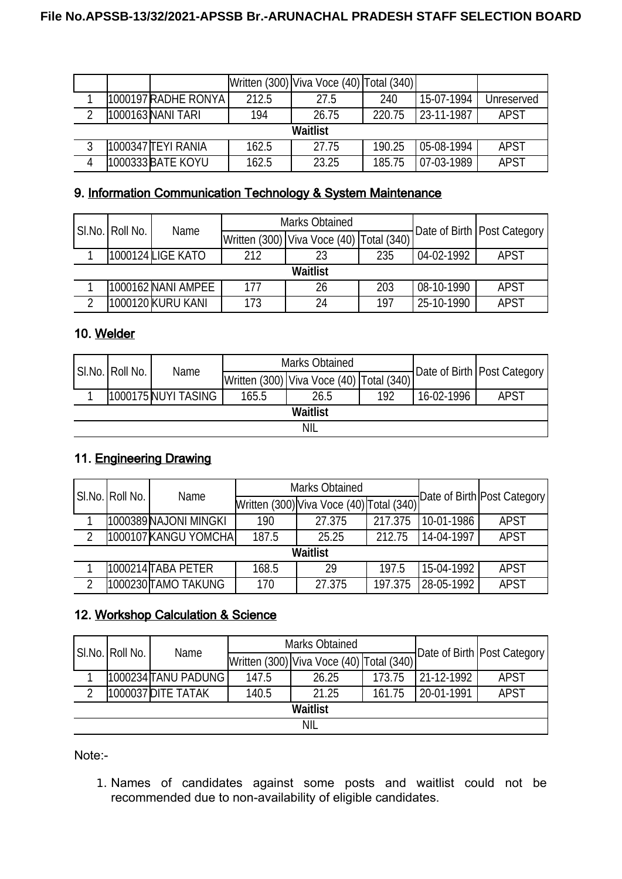|   |                      |       | Written (300) Viva Voce (40) Total (340) |        |            |             |
|---|----------------------|-------|------------------------------------------|--------|------------|-------------|
|   | 1000197  RADHE RONYA | 212.5 | 27.5                                     | 240    | 15-07-1994 | Unreserved  |
| ົ | 1000163 NANI TARI    | 194   | 26.75                                    | 220.75 | 23-11-1987 | <b>APST</b> |
|   |                      |       | <b>Waitlist</b>                          |        |            |             |
| 3 | l1000347 lTEYI RANIA | 162.5 | 27.75                                    | 190.25 | 05-08-1994 | <b>APST</b> |
| 4 | 1000333 BATE KOYU    | 162.5 | 23.25                                    | 185.75 | 07-03-1989 | <b>APST</b> |

# 9. Information Communication Technology & System Maintenance

|                 |  | Name               |     | <b>Marks Obtained</b>                        |     | Date of Birth   Post Category |             |
|-----------------|--|--------------------|-----|----------------------------------------------|-----|-------------------------------|-------------|
| SI.No. Roll No. |  |                    |     | Written (300)   Viva Voce (40)   Total (340) |     |                               |             |
|                 |  | 1000124 LIGE KATO  | 212 | 23                                           | 235 | 04-02-1992                    | <b>APST</b> |
|                 |  |                    |     | Waitlist                                     |     |                               |             |
|                 |  | 1000162 NANI AMPEE | 177 | 26                                           | 203 | 08-10-1990                    | <b>APST</b> |
| ◠               |  | 1000120 KURU KANI  | 173 | 24                                           | 197 | 25-10-1990                    | <b>APST</b> |

### 10. Welder

|            | SI.No. Roll No. <i> </i> | Name                |       | <b>Marks Obtained</b>                    |     |            | Date of Birth   Post Category |  |  |  |  |
|------------|--------------------------|---------------------|-------|------------------------------------------|-----|------------|-------------------------------|--|--|--|--|
|            |                          |                     |       | Written (300) Viva Voce (40) Total (340) |     |            |                               |  |  |  |  |
|            |                          | 1000175 NUYI TASING | 165.5 | 26.5                                     | 192 | 16-02-1996 | <b>APST</b>                   |  |  |  |  |
|            | <b>Waitlist</b>          |                     |       |                                          |     |            |                               |  |  |  |  |
| <b>NIL</b> |                          |                     |       |                                          |     |            |                               |  |  |  |  |

# 11. Engineering Drawing

|                 | SI.No. Roll No. | Name                  | <b>Marks Obtained</b> |                                          |         |            | Date of Birth Post Category |  |  |  |  |
|-----------------|-----------------|-----------------------|-----------------------|------------------------------------------|---------|------------|-----------------------------|--|--|--|--|
|                 |                 |                       |                       | Written (300) Viva Voce (40) Total (340) |         |            |                             |  |  |  |  |
|                 |                 | 1000389 NAJONI MINGKI | 190                   | 27.375                                   | 217.375 | 10-01-1986 | <b>APST</b>                 |  |  |  |  |
| າ               |                 | 1000107 KANGU YOMCHA  | 187.5                 | 25.25                                    | 212.75  | 14-04-1997 | <b>APST</b>                 |  |  |  |  |
| <b>Waitlist</b> |                 |                       |                       |                                          |         |            |                             |  |  |  |  |
|                 |                 | l1000214lTABA PETER   | 168.5                 | 29                                       | 197.5   | 15-04-1992 | <b>APST</b>                 |  |  |  |  |
| 2               |                 | 1000230 TAMO TAKUNG   | 170                   | 27.375                                   | 197.375 | 28-05-1992 | <b>APST</b>                 |  |  |  |  |

# 12. Workshop Calculation & Science

|                 | SI.No. Roll No. | Name                |       | <b>Marks Obtained</b>                    |        | Date of Birth   Post Category |             |  |  |  |
|-----------------|-----------------|---------------------|-------|------------------------------------------|--------|-------------------------------|-------------|--|--|--|
|                 |                 |                     |       | Written (300) Viva Voce (40) Total (340) |        |                               |             |  |  |  |
|                 |                 | 1000234 TANU PADUNG | 147.5 | 26.25                                    | 173.75 | 21-12-1992                    | <b>APST</b> |  |  |  |
| ົ               |                 | 1000037 DITE TATAK  | 140.5 | 21.25                                    | 161.75 | 20-01-1991                    | <b>APST</b> |  |  |  |
| <b>Waitlist</b> |                 |                     |       |                                          |        |                               |             |  |  |  |
| <b>NIL</b>      |                 |                     |       |                                          |        |                               |             |  |  |  |

Note:-

1. Names of candidates against some posts and waitlist could not be recommended due to non-availability of eligible candidates.